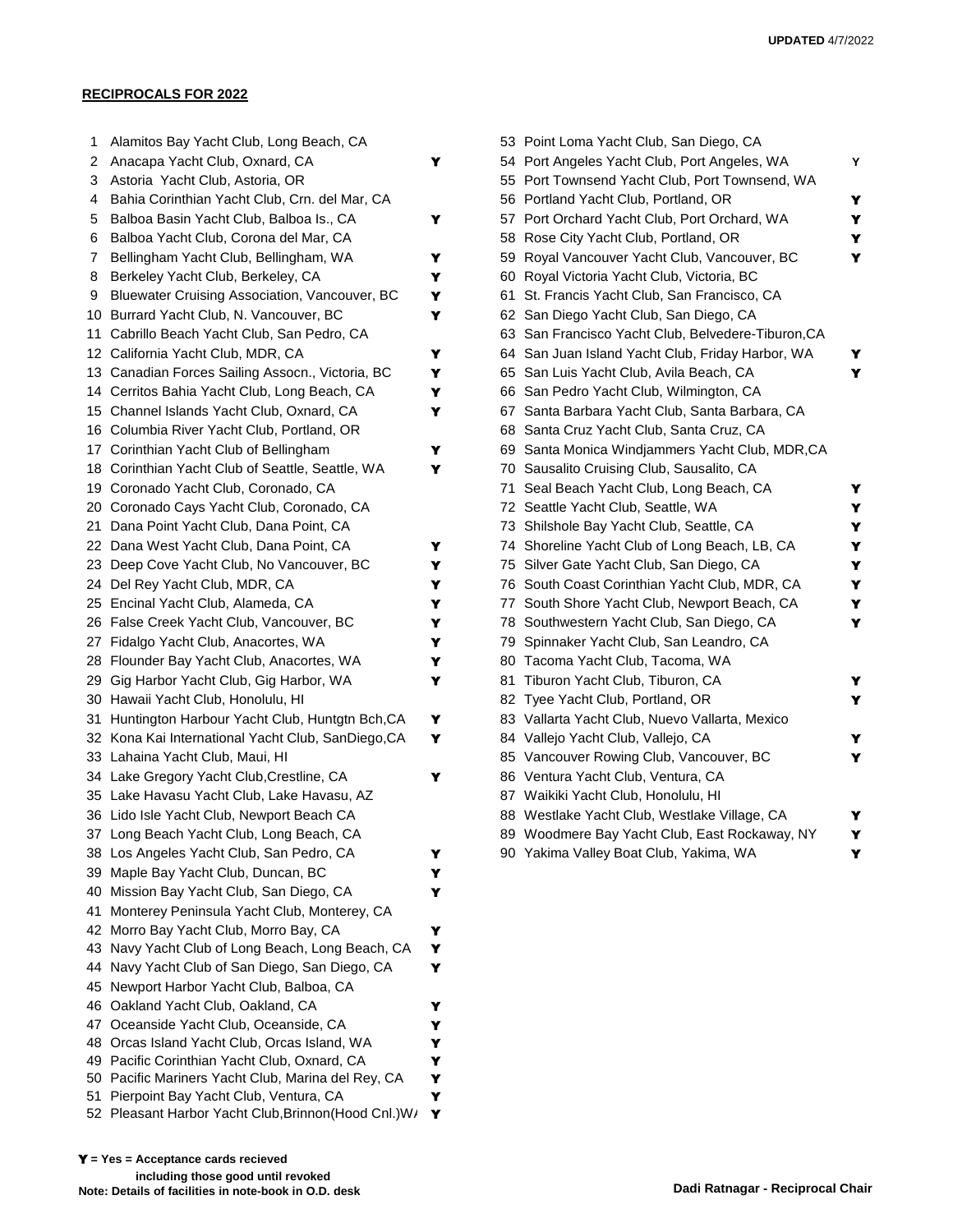## **RECIPROCALS FOR 2022**

| 1   | Alamitos Bay Yacht Club, Long Beach, CA                                                     |        |    | 53 Point Loma Yacht Club, San Diego, CA            |
|-----|---------------------------------------------------------------------------------------------|--------|----|----------------------------------------------------|
| 2   | Anacapa Yacht Club, Oxnard, CA                                                              | Y      |    | 54 Port Angeles Yacht Club, Port Angeles, WA       |
| 3   | Astoria Yacht Club, Astoria, OR                                                             |        |    | 55 Port Townsend Yacht Club, Port Townsend, WA     |
| 4   | Bahia Corinthian Yacht Club, Crn. del Mar, CA                                               |        |    | 56 Portland Yacht Club, Portland, OR               |
| 5   | Balboa Basin Yacht Club, Balboa Is., CA                                                     | Y      |    | 57 Port Orchard Yacht Club, Port Orchard, WA       |
| 6   | Balboa Yacht Club, Corona del Mar, CA                                                       |        |    | 58 Rose City Yacht Club, Portland, OR              |
| 7   | Bellingham Yacht Club, Bellingham, WA                                                       | Y      |    | 59 Royal Vancouver Yacht Club, Vancouver, BC       |
| 8   | Berkeley Yacht Club, Berkeley, CA                                                           | Y      |    | 60 Royal Victoria Yacht Club, Victoria, BC         |
| 9   | Bluewater Cruising Association, Vancouver, BC                                               | Y      |    | 61 St. Francis Yacht Club, San Francisco, CA       |
|     | 10 Burrard Yacht Club, N. Vancouver, BC                                                     | Y      |    | 62 San Diego Yacht Club, San Diego, CA             |
|     | 11 Cabrillo Beach Yacht Club, San Pedro, CA                                                 |        |    | 63 San Francisco Yacht Club, Belvedere-Tiburon, CA |
|     | 12 California Yacht Club, MDR, CA                                                           | Y      |    | 64 San Juan Island Yacht Club, Friday Harbor, WA   |
|     | 13 Canadian Forces Sailing Assocn., Victoria, BC                                            | Y      |    | 65 San Luis Yacht Club, Avila Beach, CA            |
|     | 14 Cerritos Bahia Yacht Club, Long Beach, CA                                                | Y      |    | 66 San Pedro Yacht Club, Wilmington, CA            |
|     | 15 Channel Islands Yacht Club, Oxnard, CA                                                   | Y      |    | 67 Santa Barbara Yacht Club, Santa Barbara, CA     |
|     | 16 Columbia River Yacht Club, Portland, OR                                                  |        |    | 68 Santa Cruz Yacht Club, Santa Cruz, CA           |
|     | 17 Corinthian Yacht Club of Bellingham                                                      | Y      |    | 69 Santa Monica Windjammers Yacht Club, MDR, CA    |
|     | 18 Corinthian Yacht Club of Seattle, Seattle, WA                                            | Y      |    | 70 Sausalito Cruising Club, Sausalito, CA          |
|     | 19 Coronado Yacht Club, Coronado, CA                                                        |        |    | 71 Seal Beach Yacht Club, Long Beach, CA           |
|     | 20 Coronado Cays Yacht Club, Coronado, CA                                                   |        |    | 72 Seattle Yacht Club, Seattle, WA                 |
|     | 21 Dana Point Yacht Club, Dana Point, CA                                                    |        |    | 73 Shilshole Bay Yacht Club, Seattle, CA           |
|     | 22 Dana West Yacht Club, Dana Point, CA                                                     | Y      |    | 74 Shoreline Yacht Club of Long Beach, LB, CA      |
|     | 23 Deep Cove Yacht Club, No Vancouver, BC                                                   | Y      |    | 75 Silver Gate Yacht Club, San Diego, CA           |
|     | 24 Del Rey Yacht Club, MDR, CA                                                              | Y      |    | 76 South Coast Corinthian Yacht Club, MDR, CA      |
|     | 25 Encinal Yacht Club, Alameda, CA                                                          | Y      |    | 77 South Shore Yacht Club, Newport Beach, CA       |
|     | 26 False Creek Yacht Club, Vancouver, BC                                                    | Y      |    | 78 Southwestern Yacht Club, San Diego, CA          |
| 27  | Fidalgo Yacht Club, Anacortes, WA                                                           | Y      | 79 | Spinnaker Yacht Club, San Leandro, CA              |
|     | 28 Flounder Bay Yacht Club, Anacortes, WA                                                   | Y      |    | 80 Tacoma Yacht Club, Tacoma, WA                   |
|     | 29 Gig Harbor Yacht Club, Gig Harbor, WA                                                    | Y      | 81 | Tiburon Yacht Club, Tiburon, CA                    |
|     | 30 Hawaii Yacht Club, Honolulu, HI                                                          |        |    | 82 Tyee Yacht Club, Portland, OR                   |
| 31  | Huntington Harbour Yacht Club, Huntgtn Bch, CA                                              | Y      |    | 83 Vallarta Yacht Club, Nuevo Vallarta, Mexico     |
|     | 32 Kona Kai International Yacht Club, SanDiego, CA                                          | Y      |    | 84 Vallejo Yacht Club, Vallejo, CA                 |
|     | 33 Lahaina Yacht Club, Maui, HI                                                             |        |    | 85 Vancouver Rowing Club, Vancouver, BC            |
|     | 34 Lake Gregory Yacht Club, Crestline, CA                                                   | Y      |    | 86 Ventura Yacht Club, Ventura, CA                 |
|     | 35 Lake Havasu Yacht Club, Lake Havasu, AZ                                                  |        |    | 87 Waikiki Yacht Club, Honolulu, HI                |
|     | 36 Lido Isle Yacht Club, Newport Beach CA                                                   |        |    | 88 Westlake Yacht Club, Westlake Village, CA       |
|     | 37 Long Beach Yacht Club, Long Beach, CA                                                    |        |    | 89 Woodmere Bay Yacht Club, East Rockaway, NY      |
|     | 38 Los Angeles Yacht Club, San Pedro, CA                                                    | Y      |    | 90 Yakima Valley Boat Club, Yakima, WA             |
|     | 39 Maple Bay Yacht Club, Duncan, BC                                                         | Y      |    |                                                    |
| 40. | Mission Bay Yacht Club, San Diego, CA                                                       | Y      |    |                                                    |
| 41  | Monterey Peninsula Yacht Club, Monterey, CA                                                 |        |    |                                                    |
|     | 42 Morro Bay Yacht Club, Morro Bay, CA                                                      | Y      |    |                                                    |
|     | 43 Navy Yacht Club of Long Beach, Long Beach, CA                                            | Y      |    |                                                    |
|     | 44 Navy Yacht Club of San Diego, San Diego, CA                                              | Y      |    |                                                    |
|     | 45 Newport Harbor Yacht Club, Balboa, CA                                                    |        |    |                                                    |
|     | 46 Oakland Yacht Club, Oakland, CA                                                          | Y      |    |                                                    |
|     | 47 Oceanside Yacht Club, Oceanside, CA                                                      | Y      |    |                                                    |
|     | 48 Orcas Island Yacht Club, Orcas Island, WA                                                | Y      |    |                                                    |
|     | 49 Pacific Corinthian Yacht Club, Oxnard, CA                                                | Y      |    |                                                    |
|     | 50 Pacific Mariners Yacht Club, Marina del Rey, CA<br>Pierpoint Bay Yacht Club, Ventura, CA | Y<br>Y |    |                                                    |
| 51  | 52 Pleasant Harbor Yacht Club, Brinnon (Hood Cnl.) W/                                       | Y      |    |                                                    |
|     |                                                                                             |        |    |                                                    |
|     |                                                                                             |        |    |                                                    |

| Alamitos Bay Yacht Club, Long Beach, CA            |   |    |                                             |                                                                                                                                                                                                                                                                                                                                                                                                                                                                                                                                                                                                                                                                                                                                                                                                                                                                                                                                                                                                                                                                                                                                                                                               |
|----------------------------------------------------|---|----|---------------------------------------------|-----------------------------------------------------------------------------------------------------------------------------------------------------------------------------------------------------------------------------------------------------------------------------------------------------------------------------------------------------------------------------------------------------------------------------------------------------------------------------------------------------------------------------------------------------------------------------------------------------------------------------------------------------------------------------------------------------------------------------------------------------------------------------------------------------------------------------------------------------------------------------------------------------------------------------------------------------------------------------------------------------------------------------------------------------------------------------------------------------------------------------------------------------------------------------------------------|
| 2 Anacapa Yacht Club, Oxnard, CA                   | Y |    |                                             | Y                                                                                                                                                                                                                                                                                                                                                                                                                                                                                                                                                                                                                                                                                                                                                                                                                                                                                                                                                                                                                                                                                                                                                                                             |
| Astoria Yacht Club, Astoria, OR                    |   | 55 |                                             |                                                                                                                                                                                                                                                                                                                                                                                                                                                                                                                                                                                                                                                                                                                                                                                                                                                                                                                                                                                                                                                                                                                                                                                               |
| Bahia Corinthian Yacht Club, Crn. del Mar, CA      |   |    |                                             | Y                                                                                                                                                                                                                                                                                                                                                                                                                                                                                                                                                                                                                                                                                                                                                                                                                                                                                                                                                                                                                                                                                                                                                                                             |
| Balboa Basin Yacht Club, Balboa Is., CA            | Y | 57 | Port Orchard Yacht Club, Port Orchard, WA   | Y                                                                                                                                                                                                                                                                                                                                                                                                                                                                                                                                                                                                                                                                                                                                                                                                                                                                                                                                                                                                                                                                                                                                                                                             |
| Balboa Yacht Club, Corona del Mar, CA              |   | 58 | Rose City Yacht Club, Portland, OR          | Y                                                                                                                                                                                                                                                                                                                                                                                                                                                                                                                                                                                                                                                                                                                                                                                                                                                                                                                                                                                                                                                                                                                                                                                             |
| Bellingham Yacht Club, Bellingham, WA              | Y | 59 | Royal Vancouver Yacht Club, Vancouver, BC   | Y                                                                                                                                                                                                                                                                                                                                                                                                                                                                                                                                                                                                                                                                                                                                                                                                                                                                                                                                                                                                                                                                                                                                                                                             |
| Berkeley Yacht Club, Berkeley, CA                  | Y | 60 | Royal Victoria Yacht Club, Victoria, BC     |                                                                                                                                                                                                                                                                                                                                                                                                                                                                                                                                                                                                                                                                                                                                                                                                                                                                                                                                                                                                                                                                                                                                                                                               |
| Bluewater Cruising Association, Vancouver, BC      | Y | 61 | St. Francis Yacht Club, San Francisco, CA   |                                                                                                                                                                                                                                                                                                                                                                                                                                                                                                                                                                                                                                                                                                                                                                                                                                                                                                                                                                                                                                                                                                                                                                                               |
| 10 Burrard Yacht Club, N. Vancouver, BC            | Y |    |                                             |                                                                                                                                                                                                                                                                                                                                                                                                                                                                                                                                                                                                                                                                                                                                                                                                                                                                                                                                                                                                                                                                                                                                                                                               |
| 11 Cabrillo Beach Yacht Club, San Pedro, CA        |   |    |                                             |                                                                                                                                                                                                                                                                                                                                                                                                                                                                                                                                                                                                                                                                                                                                                                                                                                                                                                                                                                                                                                                                                                                                                                                               |
| 12 California Yacht Club, MDR, CA                  | Y |    |                                             | Y                                                                                                                                                                                                                                                                                                                                                                                                                                                                                                                                                                                                                                                                                                                                                                                                                                                                                                                                                                                                                                                                                                                                                                                             |
| 13 Canadian Forces Sailing Assocn., Victoria, BC   | Y |    |                                             | Y                                                                                                                                                                                                                                                                                                                                                                                                                                                                                                                                                                                                                                                                                                                                                                                                                                                                                                                                                                                                                                                                                                                                                                                             |
| 14 Cerritos Bahia Yacht Club, Long Beach, CA       | Y |    |                                             |                                                                                                                                                                                                                                                                                                                                                                                                                                                                                                                                                                                                                                                                                                                                                                                                                                                                                                                                                                                                                                                                                                                                                                                               |
| 15 Channel Islands Yacht Club, Oxnard, CA          | Y |    | Santa Barbara Yacht Club, Santa Barbara, CA |                                                                                                                                                                                                                                                                                                                                                                                                                                                                                                                                                                                                                                                                                                                                                                                                                                                                                                                                                                                                                                                                                                                                                                                               |
| 16 Columbia River Yacht Club, Portland, OR         |   | 68 |                                             |                                                                                                                                                                                                                                                                                                                                                                                                                                                                                                                                                                                                                                                                                                                                                                                                                                                                                                                                                                                                                                                                                                                                                                                               |
| 17 Corinthian Yacht Club of Bellingham             | Y | 69 |                                             |                                                                                                                                                                                                                                                                                                                                                                                                                                                                                                                                                                                                                                                                                                                                                                                                                                                                                                                                                                                                                                                                                                                                                                                               |
| 18 Corinthian Yacht Club of Seattle, Seattle, WA   | Y |    |                                             |                                                                                                                                                                                                                                                                                                                                                                                                                                                                                                                                                                                                                                                                                                                                                                                                                                                                                                                                                                                                                                                                                                                                                                                               |
| 19 Coronado Yacht Club, Coronado, CA               |   | 71 | Seal Beach Yacht Club, Long Beach, CA       | Y                                                                                                                                                                                                                                                                                                                                                                                                                                                                                                                                                                                                                                                                                                                                                                                                                                                                                                                                                                                                                                                                                                                                                                                             |
| 20 Coronado Cays Yacht Club, Coronado, CA          |   |    |                                             | Y                                                                                                                                                                                                                                                                                                                                                                                                                                                                                                                                                                                                                                                                                                                                                                                                                                                                                                                                                                                                                                                                                                                                                                                             |
| 21 Dana Point Yacht Club, Dana Point, CA           |   |    |                                             | Y                                                                                                                                                                                                                                                                                                                                                                                                                                                                                                                                                                                                                                                                                                                                                                                                                                                                                                                                                                                                                                                                                                                                                                                             |
| 22 Dana West Yacht Club, Dana Point, CA            | Y | 74 | Shoreline Yacht Club of Long Beach, LB, CA  | Y                                                                                                                                                                                                                                                                                                                                                                                                                                                                                                                                                                                                                                                                                                                                                                                                                                                                                                                                                                                                                                                                                                                                                                                             |
| 23 Deep Cove Yacht Club, No Vancouver, BC          | Y | 75 | Silver Gate Yacht Club, San Diego, CA       | Y                                                                                                                                                                                                                                                                                                                                                                                                                                                                                                                                                                                                                                                                                                                                                                                                                                                                                                                                                                                                                                                                                                                                                                                             |
| 24 Del Rey Yacht Club, MDR, CA                     | Y |    |                                             | Y                                                                                                                                                                                                                                                                                                                                                                                                                                                                                                                                                                                                                                                                                                                                                                                                                                                                                                                                                                                                                                                                                                                                                                                             |
| 25 Encinal Yacht Club, Alameda, CA                 | Y |    | South Shore Yacht Club, Newport Beach, CA   | Y                                                                                                                                                                                                                                                                                                                                                                                                                                                                                                                                                                                                                                                                                                                                                                                                                                                                                                                                                                                                                                                                                                                                                                                             |
| 26 False Creek Yacht Club, Vancouver, BC           | Y |    |                                             | Y                                                                                                                                                                                                                                                                                                                                                                                                                                                                                                                                                                                                                                                                                                                                                                                                                                                                                                                                                                                                                                                                                                                                                                                             |
| 27 Fidalgo Yacht Club, Anacortes, WA               | Y | 79 | Spinnaker Yacht Club, San Leandro, CA       |                                                                                                                                                                                                                                                                                                                                                                                                                                                                                                                                                                                                                                                                                                                                                                                                                                                                                                                                                                                                                                                                                                                                                                                               |
| 28 Flounder Bay Yacht Club, Anacortes, WA          | Y |    |                                             |                                                                                                                                                                                                                                                                                                                                                                                                                                                                                                                                                                                                                                                                                                                                                                                                                                                                                                                                                                                                                                                                                                                                                                                               |
| 29 Gig Harbor Yacht Club, Gig Harbor, WA           | Y | 81 | Tiburon Yacht Club, Tiburon, CA             |                                                                                                                                                                                                                                                                                                                                                                                                                                                                                                                                                                                                                                                                                                                                                                                                                                                                                                                                                                                                                                                                                                                                                                                               |
| 30 Hawaii Yacht Club, Honolulu, HI                 |   |    |                                             | Y                                                                                                                                                                                                                                                                                                                                                                                                                                                                                                                                                                                                                                                                                                                                                                                                                                                                                                                                                                                                                                                                                                                                                                                             |
| 31 Huntington Harbour Yacht Club, Huntgtn Bch, CA  | Y |    |                                             |                                                                                                                                                                                                                                                                                                                                                                                                                                                                                                                                                                                                                                                                                                                                                                                                                                                                                                                                                                                                                                                                                                                                                                                               |
| 32 Kona Kai International Yacht Club, SanDiego, CA | Y |    |                                             | Y                                                                                                                                                                                                                                                                                                                                                                                                                                                                                                                                                                                                                                                                                                                                                                                                                                                                                                                                                                                                                                                                                                                                                                                             |
| 33 Lahaina Yacht Club, Maui, HI                    |   |    |                                             | Y                                                                                                                                                                                                                                                                                                                                                                                                                                                                                                                                                                                                                                                                                                                                                                                                                                                                                                                                                                                                                                                                                                                                                                                             |
| 34 Lake Gregory Yacht Club, Crestline, CA          | Y |    |                                             |                                                                                                                                                                                                                                                                                                                                                                                                                                                                                                                                                                                                                                                                                                                                                                                                                                                                                                                                                                                                                                                                                                                                                                                               |
| 35 Lake Havasu Yacht Club, Lake Havasu, AZ         |   |    |                                             |                                                                                                                                                                                                                                                                                                                                                                                                                                                                                                                                                                                                                                                                                                                                                                                                                                                                                                                                                                                                                                                                                                                                                                                               |
| 36 Lido Isle Yacht Club, Newport Beach CA          |   |    |                                             | Y                                                                                                                                                                                                                                                                                                                                                                                                                                                                                                                                                                                                                                                                                                                                                                                                                                                                                                                                                                                                                                                                                                                                                                                             |
| 37 Long Beach Yacht Club, Long Beach, CA           |   |    |                                             | Y                                                                                                                                                                                                                                                                                                                                                                                                                                                                                                                                                                                                                                                                                                                                                                                                                                                                                                                                                                                                                                                                                                                                                                                             |
| 38 Los Angeles Yacht Club, San Pedro, CA           | Y |    |                                             | Y                                                                                                                                                                                                                                                                                                                                                                                                                                                                                                                                                                                                                                                                                                                                                                                                                                                                                                                                                                                                                                                                                                                                                                                             |
|                                                    |   |    |                                             | 53 Point Loma Yacht Club, San Diego, CA<br>54 Port Angeles Yacht Club, Port Angeles, WA<br>Port Townsend Yacht Club, Port Townsend, WA<br>56 Portland Yacht Club, Portland, OR<br>62 San Diego Yacht Club, San Diego, CA<br>63 San Francisco Yacht Club, Belvedere-Tiburon, CA<br>64 San Juan Island Yacht Club, Friday Harbor, WA<br>65 San Luis Yacht Club, Avila Beach, CA<br>66 San Pedro Yacht Club, Wilmington, CA<br>67<br>Santa Cruz Yacht Club, Santa Cruz, CA<br>Santa Monica Windjammers Yacht Club, MDR, CA<br>70 Sausalito Cruising Club, Sausalito, CA<br>72 Seattle Yacht Club, Seattle, WA<br>73 Shilshole Bay Yacht Club, Seattle, CA<br>76 South Coast Corinthian Yacht Club, MDR, CA<br>77<br>78 Southwestern Yacht Club, San Diego, CA<br>80 Tacoma Yacht Club, Tacoma, WA<br>82 Tyee Yacht Club, Portland, OR<br>83 Vallarta Yacht Club, Nuevo Vallarta, Mexico<br>84 Vallejo Yacht Club, Vallejo, CA<br>85 Vancouver Rowing Club, Vancouver, BC<br>86 Ventura Yacht Club, Ventura, CA<br>87 Waikiki Yacht Club, Honolulu, HI<br>88 Westlake Yacht Club, Westlake Village, CA<br>89 Woodmere Bay Yacht Club, East Rockaway, NY<br>90 Yakima Valley Boat Club, Yakima, WA |